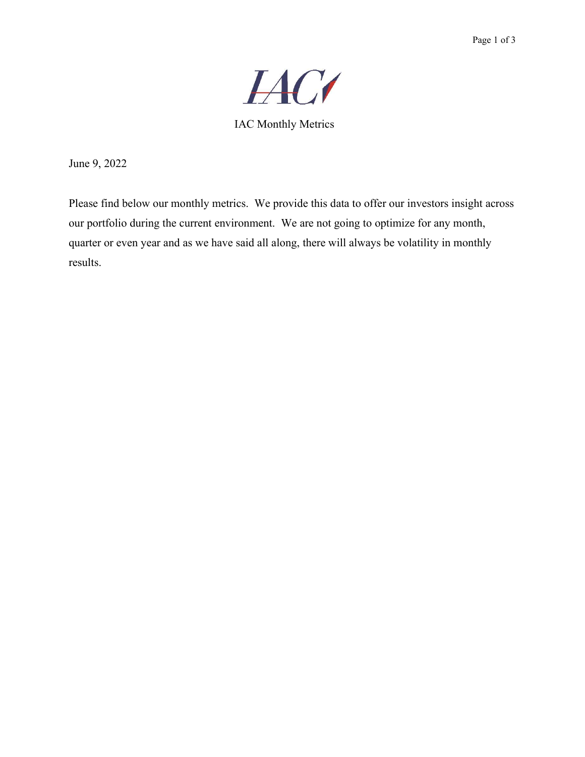

IAC Monthly Metrics

June 9, 2022

Please find below our monthly metrics. We provide this data to offer our investors insight across our portfolio during the current environment. We are not going to optimize for any month, quarter or even year and as we have said all along, there will always be volatility in monthly results.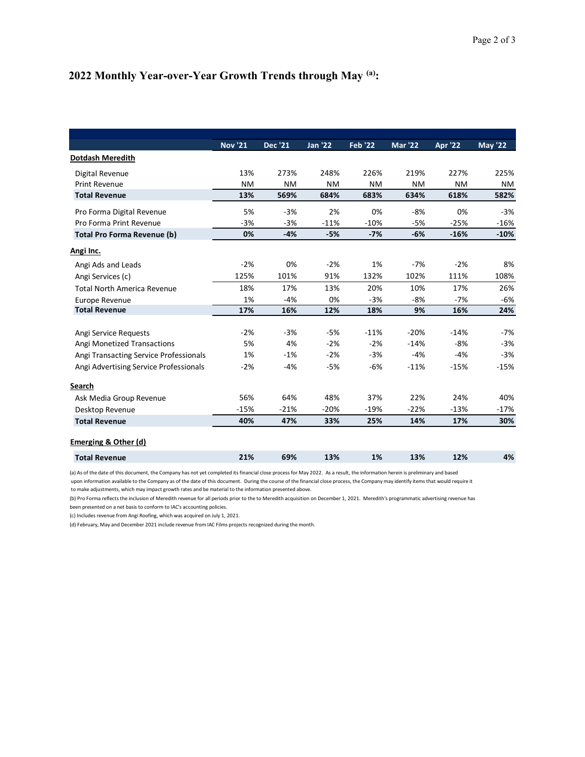## 2022 Monthly Year-over-Year Growth Trends through May (a):

|                                                            |                |                |                |                |                |                | Page 2 of 3    |
|------------------------------------------------------------|----------------|----------------|----------------|----------------|----------------|----------------|----------------|
| 2022 Monthly Year-over-Year Growth Trends through May (a): |                |                |                |                |                |                |                |
|                                                            |                |                |                |                |                |                |                |
|                                                            |                |                |                |                |                |                |                |
|                                                            |                |                |                |                |                |                |                |
|                                                            |                |                |                |                |                |                |                |
|                                                            |                |                |                |                |                |                |                |
|                                                            |                |                |                |                |                |                |                |
|                                                            |                |                |                |                |                |                |                |
|                                                            |                |                |                |                |                |                |                |
|                                                            |                |                |                |                |                |                |                |
|                                                            |                |                |                |                |                |                |                |
|                                                            | <b>Nov '21</b> | <b>Dec</b> '21 | <b>Jan '22</b> | <b>Feb '22</b> | <b>Mar '22</b> | <b>Apr '22</b> | <b>May '22</b> |
| Dotdash Meredith                                           |                |                |                |                |                |                |                |
|                                                            |                |                |                |                |                |                |                |
| Digital Revenue                                            | 13%            | 273%           | 248%           | 226%           | 219%           | 227%           | 225%           |
| Print Revenue                                              | NM             | <b>NM</b>      | <b>NM</b>      | <b>NM</b>      | NM             | <b>NM</b>      | <b>NM</b>      |
| <b>Total Revenue</b>                                       | 13%            | 569%           | 684%           | 683%           | 634%           | 618%           | 582%           |
| Pro Forma Digital Revenue                                  | 5%             | $-3%$          | 2%             | 0%             | -8%            | 0%             | $-3%$          |
| Pro Forma Print Revenue                                    | $-3%$          | $-3%$          | $-11%$         | $-10%$         | $-5%$          | $-25%$         | $-16%$         |
| <b>Total Pro Forma Revenue (b)</b>                         | 0%             | $-4%$          | $-5%$          | $-7%$          | $-6%$          | $-16%$         | $-10%$         |
|                                                            |                |                |                |                |                |                |                |
| Angi Inc.                                                  |                |                |                |                |                |                |                |
| Angi Ads and Leads                                         | $-2%$          | 0%             | $-2%$          | 1%             | -7%            | $-2%$          | 8%             |
| Angi Services (c)                                          | 125%           | 101%           | 91%            | 132%           | 102%           | 111%           | 108%           |
| <b>Total North America Revenue</b>                         | 18%            | 17%            | 13%            | 20%            | 10%            | 17%            | 26%            |
| Europe Revenue                                             | 1%             | $-4%$          | 0%             | $-3%$          | -8%            | $-7%$          | -6%            |
| <b>Total Revenue</b>                                       | 17%            | 16%            | 12%            | 18%            | 9%             | 16%            | 24%            |
|                                                            |                |                |                |                |                |                |                |
| Angi Service Requests                                      | $-2%$          | $-3%$          | $-5%$          | $-11%$         | $-20%$         | $-14%$         | $-7%$          |
| Angi Monetized Transactions                                | 5%             | 4%             | $-2%$          | $-2%$          | $-14%$         | -8%            | $-3%$          |
| Angi Transacting Service Professionals                     | 1%             | $-1%$          | $-2%$          | $-3%$          | -4%            | $-4%$          | $-3%$          |
| Angi Advertising Service Professionals                     | $-2%$          | $-4%$          | $-5%$          | -6%            | $-11%$         | $-15%$         | $-15%$         |
|                                                            |                |                |                |                |                |                |                |
| <b>Search</b>                                              |                |                |                |                |                |                |                |
| Ask Media Group Revenue                                    | 56%            | 64%            | 48%            | 37%            | 22%            | 24%            | 40%            |
| Desktop Revenue                                            | $-15%$         | $-21%$         | $-20%$         | $-19%$         | $-22%$         | $-13%$         | $-17%$         |
|                                                            | 40%            | 47%            | 33%            | 25%            | 14%            | 17%            | 30%            |
| <b>Total Revenue</b>                                       |                |                |                |                |                |                |                |
|                                                            |                |                |                |                |                |                |                |
| <b>Emerging &amp; Other (d)</b>                            |                |                |                |                |                |                |                |